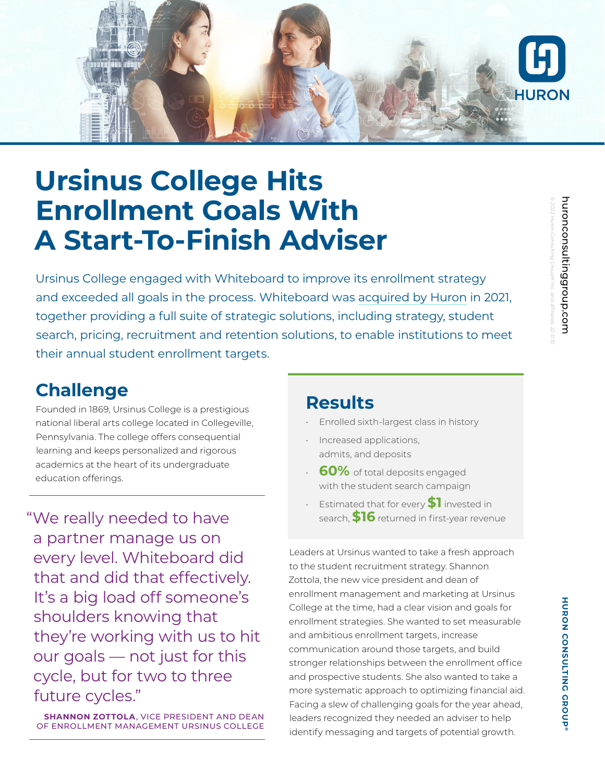

## **Ursinus College Hits Enrollment Goals With A Start-To-Finish Adviser**

Ursinus College engaged with Whiteboard to improve its enrollment strategy and exceeded all goals in the process. Whiteboard was [acquired by Huron](https://ir.huronconsultinggroup.com/news-releases/news-release-details/huron-acquires-student-enrollment-advisory-firm-whiteboard) in 2021, together providing a full suite of strategic solutions, including strategy, student search, pricing, recruitment and retention solutions, to enable institutions to meet their annual student enrollment targets.

### **Challenge**

Founded in 1869, Ursinus College is a prestigious national liberal arts college located in Collegeville, Pennsylvania. The college offers consequential learning and keeps personalized and rigorous academics at the heart of its undergraduate education offerings.

"We really needed to have search, \$16 returned in first-year revenue a partner manage us on every level. Whiteboard did that and did that effectively. It's a big load off someone's shoulders knowing that they're working with us to hit our goals — not just for this cycle, but for two to three future cycles."

**SHANNON ZOTTOLA**, VICE PRESIDENT AND DEAN OF ENROLLMENT MANAGEMENT URSINUS COLLEGE

#### **Results**

- Enrolled sixth-largest class in history
- Increased applications, admits, and deposits
- **60%** of total deposits engaged with the student search campaign
- Estimated that for every **\$1** invested in

Leaders at Ursinus wanted to take a fresh approach to the student recruitment strategy. Shannon Zottola, the new vice president and dean of enrollment management and marketing at Ursinus College at the time, had a clear vision and goals for enrollment strategies. She wanted to set measurable and ambitious enrollment targets, increase communication around those targets, and build stronger relationships between the enrollment office and prospective students. She also wanted to take a more systematic approach to optimizing financial aid. Facing a slew of challenging goals for the year ahead, leaders recognized they needed an adviser to help identify messaging and targets of potential growth.